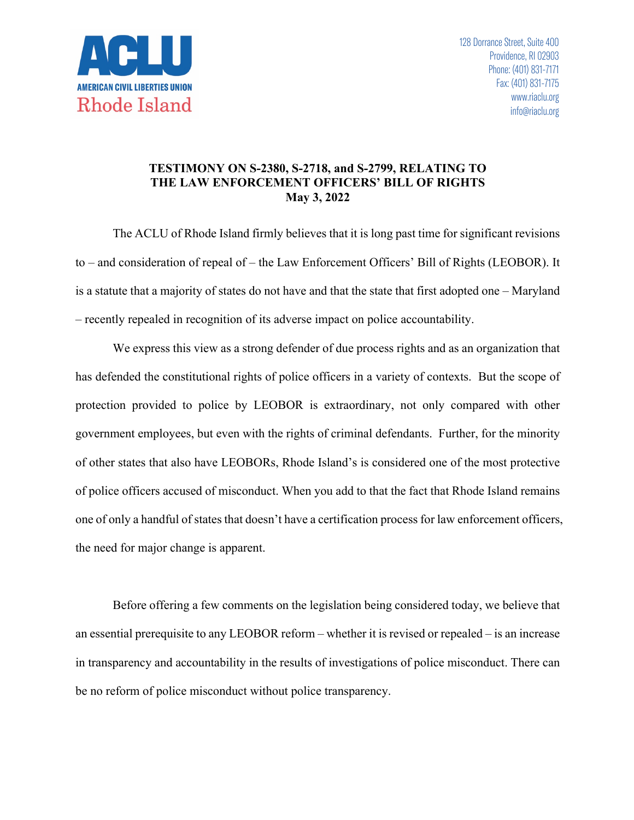

## **TESTIMONY ON S-2380, S-2718, and S-2799, RELATING TO THE LAW ENFORCEMENT OFFICERS' BILL OF RIGHTS May 3, 2022**

The ACLU of Rhode Island firmly believes that it is long past time for significant revisions to – and consideration of repeal of – the Law Enforcement Officers' Bill of Rights (LEOBOR). It is a statute that a majority of states do not have and that the state that first adopted one – Maryland – recently repealed in recognition of its adverse impact on police accountability.

We express this view as a strong defender of due process rights and as an organization that has defended the constitutional rights of police officers in a variety of contexts. But the scope of protection provided to police by LEOBOR is extraordinary, not only compared with other government employees, but even with the rights of criminal defendants. Further, for the minority of other states that also have LEOBORs, Rhode Island's is considered one of the most protective of police officers accused of misconduct. When you add to that the fact that Rhode Island remains one of only a handful of states that doesn't have a certification process for law enforcement officers, the need for major change is apparent.

Before offering a few comments on the legislation being considered today, we believe that an essential prerequisite to any LEOBOR reform – whether it is revised or repealed – is an increase in transparency and accountability in the results of investigations of police misconduct. There can be no reform of police misconduct without police transparency.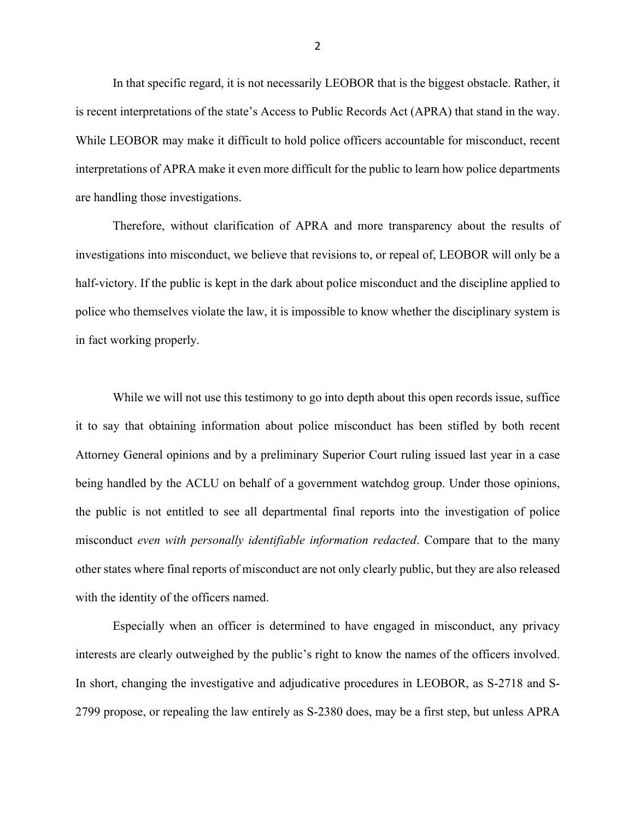In that specific regard, it is not necessarily LEOBOR that is the biggest obstacle. Rather, it is recent interpretations of the state's Access to Public Records Act (APRA) that stand in the way. While LEOBOR may make it difficult to hold police officers accountable for misconduct, recent interpretations of APRA make it even more difficult for the public to learn how police departments are handling those investigations.

Therefore, without clarification of APRA and more transparency about the results of investigations into misconduct, we believe that revisions to, or repeal of, LEOBOR will only be a half-victory. If the public is kept in the dark about police misconduct and the discipline applied to police who themselves violate the law, it is impossible to know whether the disciplinary system is in fact working properly.

While we will not use this testimony to go into depth about this open records issue, suffice it to say that obtaining information about police misconduct has been stifled by both recent Attorney General opinions and by a preliminary Superior Court ruling issued last year in a case being handled by the ACLU on behalf of a government watchdog group. Under those opinions, the public is not entitled to see all departmental final reports into the investigation of police misconduct *even with personally identifiable information redacted*. Compare that to the many other states where final reports of misconduct are not only clearly public, but they are also released with the identity of the officers named.

Especially when an officer is determined to have engaged in misconduct, any privacy interests are clearly outweighed by the public's right to know the names of the officers involved. In short, changing the investigative and adjudicative procedures in LEOBOR, as S-2718 and S-2799 propose, or repealing the law entirely as S-2380 does, may be a first step, but unless APRA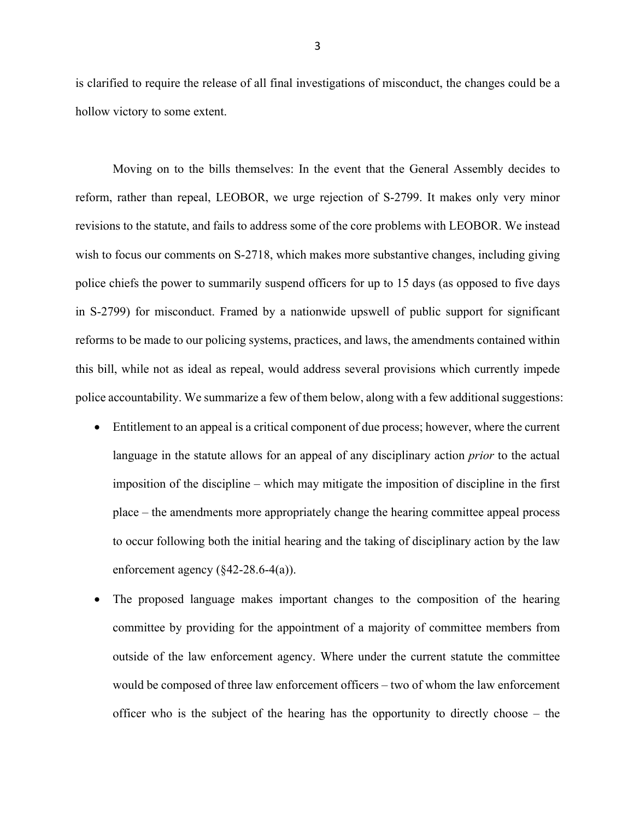is clarified to require the release of all final investigations of misconduct, the changes could be a hollow victory to some extent.

Moving on to the bills themselves: In the event that the General Assembly decides to reform, rather than repeal, LEOBOR, we urge rejection of S-2799. It makes only very minor revisions to the statute, and fails to address some of the core problems with LEOBOR. We instead wish to focus our comments on S-2718, which makes more substantive changes, including giving police chiefs the power to summarily suspend officers for up to 15 days (as opposed to five days in S-2799) for misconduct. Framed by a nationwide upswell of public support for significant reforms to be made to our policing systems, practices, and laws, the amendments contained within this bill, while not as ideal as repeal, would address several provisions which currently impede police accountability. We summarize a few of them below, along with a few additional suggestions:

- Entitlement to an appeal is a critical component of due process; however, where the current language in the statute allows for an appeal of any disciplinary action *prior* to the actual imposition of the discipline – which may mitigate the imposition of discipline in the first place – the amendments more appropriately change the hearing committee appeal process to occur following both the initial hearing and the taking of disciplinary action by the law enforcement agency  $(\frac{642-28.6-4(a)}{a})$ .
- The proposed language makes important changes to the composition of the hearing committee by providing for the appointment of a majority of committee members from outside of the law enforcement agency. Where under the current statute the committee would be composed of three law enforcement officers – two of whom the law enforcement officer who is the subject of the hearing has the opportunity to directly choose – the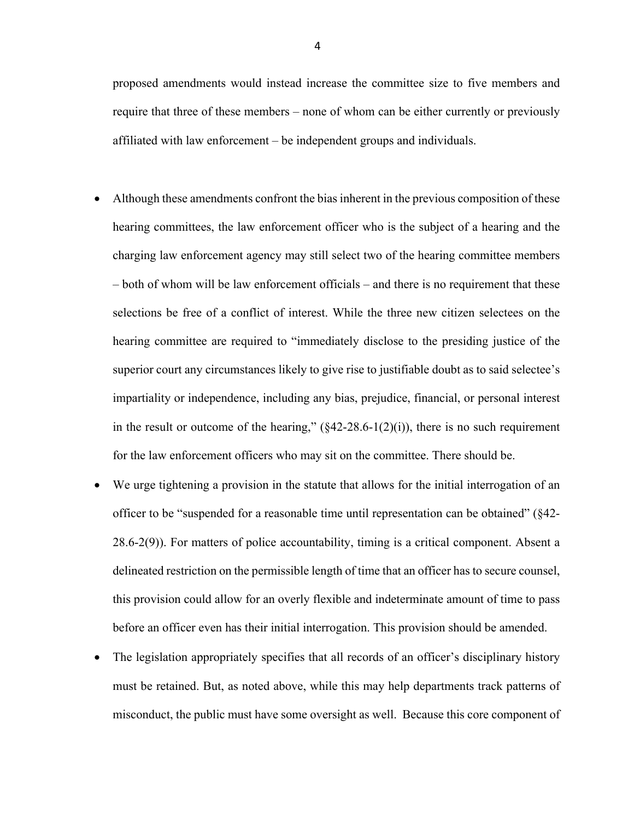proposed amendments would instead increase the committee size to five members and require that three of these members – none of whom can be either currently or previously affiliated with law enforcement – be independent groups and individuals.

- Although these amendments confront the bias inherent in the previous composition of these hearing committees, the law enforcement officer who is the subject of a hearing and the charging law enforcement agency may still select two of the hearing committee members – both of whom will be law enforcement officials – and there is no requirement that these selections be free of a conflict of interest. While the three new citizen selectees on the hearing committee are required to "immediately disclose to the presiding justice of the superior court any circumstances likely to give rise to justifiable doubt as to said selectee's impartiality or independence, including any bias, prejudice, financial, or personal interest in the result or outcome of the hearing,"  $(\frac{6}{42-28.6-1(2)(i)})$ , there is no such requirement for the law enforcement officers who may sit on the committee. There should be.
- We urge tightening a provision in the statute that allows for the initial interrogation of an officer to be "suspended for a reasonable time until representation can be obtained" (§42- 28.6-2(9)). For matters of police accountability, timing is a critical component. Absent a delineated restriction on the permissible length of time that an officer has to secure counsel, this provision could allow for an overly flexible and indeterminate amount of time to pass before an officer even has their initial interrogation. This provision should be amended.
- The legislation appropriately specifies that all records of an officer's disciplinary history must be retained. But, as noted above, while this may help departments track patterns of misconduct, the public must have some oversight as well. Because this core component of